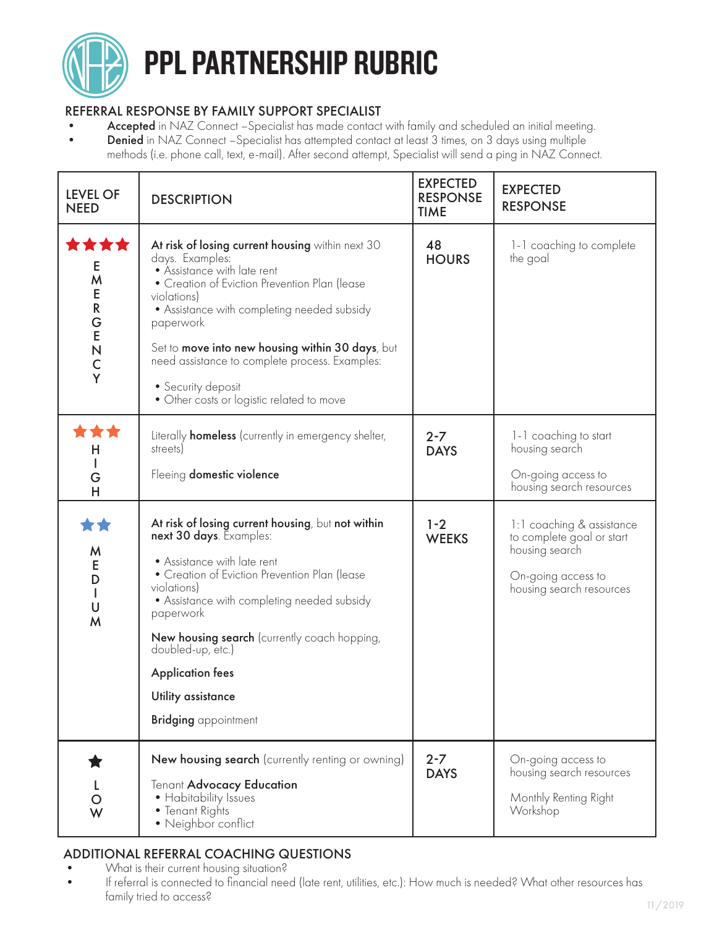

# PPL PARTNERSHIP RUBRIC

### REFERRAL RESPONSE BY FAMILY SUPPORT SPECIALIST

- Accepted in NAZ Connect -Specialist has made contact with family and scheduled an initial meeting.
- Denied in NAZ Connect -Specialist has attempted contact at least 3 times, on 3 days using multiple
	- methods (i.e. phone call, text, e-mail). After second attempt, Specialist will send a ping in NAZ Connect.

| <b>LEVEL OF</b><br><b>NEED</b>                                      | <b>DESCRIPTION</b>                                                                                                                                                                                                                                                                                                                                                                                      | <b>EXPECTED</b><br><b>RESPONSE</b><br><b>TIME</b> | <b>EXPECTED</b><br><b>RESPONSE</b>                                                                                         |
|---------------------------------------------------------------------|---------------------------------------------------------------------------------------------------------------------------------------------------------------------------------------------------------------------------------------------------------------------------------------------------------------------------------------------------------------------------------------------------------|---------------------------------------------------|----------------------------------------------------------------------------------------------------------------------------|
| ***<br>Е<br>M<br>E<br>${\sf R}$<br>G<br>E<br>N<br>$\mathsf{C}$<br>Y | At risk of losing current housing within next 30<br>days. Examples:<br>• Assistance with late rent<br>• Creation of Eviction Prevention Plan (lease<br>violations)<br>• Assistance with completing needed subsidy<br>paperwork<br>Set to move into new housing within 30 days, but<br>need assistance to complete process. Examples:<br>• Security deposit<br>• Other costs or logistic related to move | 48<br><b>HOURS</b>                                | 1-1 coaching to complete<br>the goal                                                                                       |
| **<br>н<br>G<br>H                                                   | Literally <b>homeless</b> (currently in emergency shelter,<br>streets)<br>Fleeing domestic violence                                                                                                                                                                                                                                                                                                     | $2 - 7$<br><b>DAYS</b>                            | 1-1 coaching to start<br>housing search<br>On-going access to<br>housing search resources                                  |
| 女女<br>M<br>E<br>D<br>$\mathsf{l}$<br>U<br>M                         | At risk of losing current housing, but not within<br>next 30 days. Examples:<br>• Assistance with late rent<br>• Creation of Eviction Prevention Plan (lease<br>violations)<br>• Assistance with completing needed subsidy<br>paperwork<br>New housing search (currently coach hopping,<br>doubled-up, etc.)<br><b>Application fees</b><br>Utility assistance<br><b>Bridging</b> appointment            | $1 - 2$<br><b>WEEKS</b>                           | 1:1 coaching & assistance<br>to complete goal or start<br>housing search<br>On-going access to<br>housing search resources |
| W                                                                   | New housing search (currently renting or owning)<br>Tenant Advocacy Education<br>• Habitability Issues<br>• Tenant Rights<br>· Neighbor conflict                                                                                                                                                                                                                                                        | $2 - 7$<br><b>DAYS</b>                            | On-going access to<br>housing search resources<br>Monthly Renting Right<br>Workshop                                        |

## ADDITIONAL REFERRAL COACHING QUESTIONS

- What is their current housing situation?
- If referral is connected to financial need (late rent, utilities, etc.): How much is needed? What other resources has family tried to access?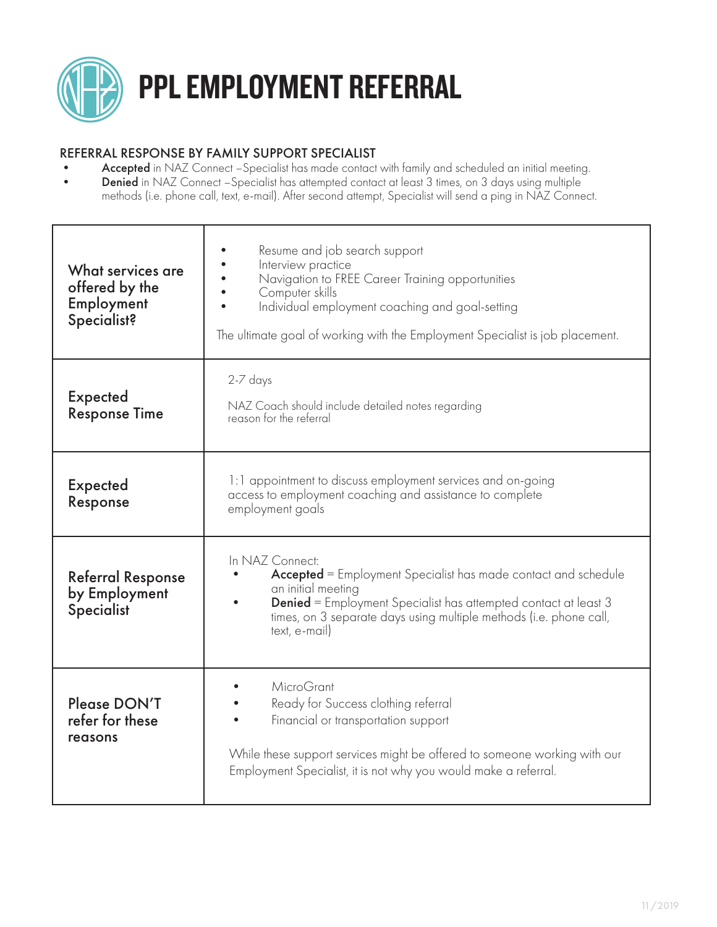

#### REFERRAL RESPONSE BY FAMILY SUPPORT SPECIALIST

- Accepted in NAZ Connect -Specialist has made contact with family and scheduled an initial meeting.
- Denied in NAZ Connect -Specialist has attempted contact at least 3 times, on 3 days using multiple methods (i.e. phone call, text, e-mail). After second attempt, Specialist will send a ping in NAZ Connect.

| What services are<br>offered by the<br>Employment<br>Specialist? | Resume and job search support<br>Interview practice<br>Navigation to FREE Career Training opportunities<br>Computer skills<br>Individual employment coaching and goal-setting<br>The ultimate goal of working with the Employment Specialist is job placement.                  |  |  |
|------------------------------------------------------------------|---------------------------------------------------------------------------------------------------------------------------------------------------------------------------------------------------------------------------------------------------------------------------------|--|--|
| <b>Expected</b><br><b>Response Time</b>                          | 2-7 days<br>NAZ Coach should include detailed notes regarding<br>reason for the referral                                                                                                                                                                                        |  |  |
| <b>Expected</b><br>Response                                      | 1:1 appointment to discuss employment services and on-going<br>access to employment coaching and assistance to complete<br>employment goals                                                                                                                                     |  |  |
| <b>Referral Response</b><br>by Employment<br>Specialist          | In NAZ Connect:<br><b>Accepted</b> = Employment Specialist has made contact and schedule<br>an initial meeting<br><b>Denied</b> = Employment Specialist has attempted contact at least 3<br>times, on 3 separate days using multiple methods (i.e. phone call,<br>text, e-mail) |  |  |
| Please DON'T<br>refer for these<br>reasons                       | MicroGrant<br>Ready for Success clothing referral<br>Financial or transportation support<br>While these support services might be offered to someone working with our<br>Employment Specialist, it is not why you would make a referral.                                        |  |  |